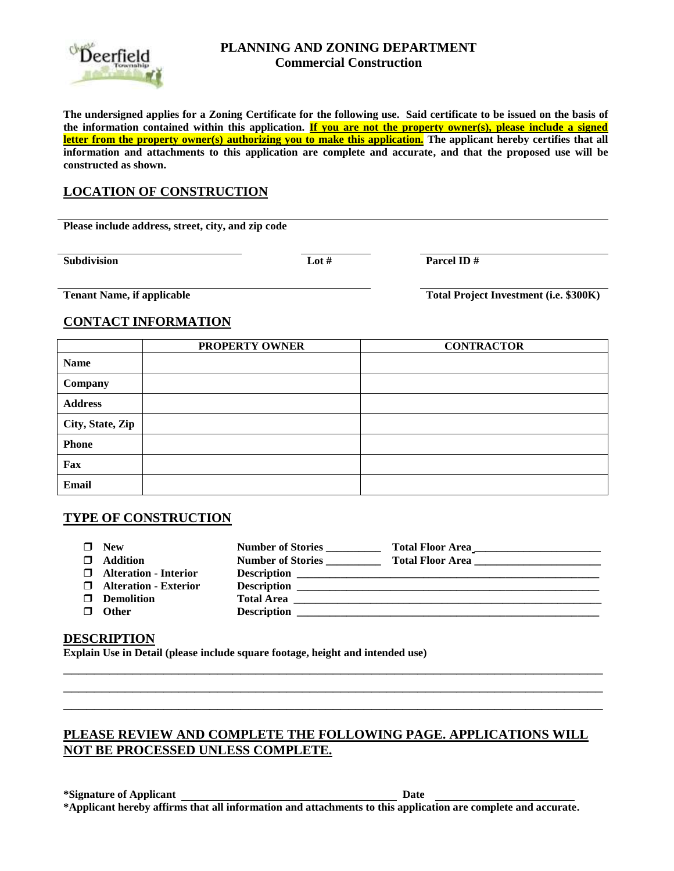

#### **PLANNING AND ZONING DEPARTMENT Commercial Construction**

**The undersigned applies for a Zoning Certificate for the following use. Said certificate to be issued on the basis of the information contained within this application. If you are not the property owner(s), please include a signed letter from the property owner(s) authorizing you to make this application. The applicant hereby certifies that all information and attachments to this application are complete and accurate, and that the proposed use will be constructed as shown.**

## **LOCATION OF CONSTRUCTION**

**Please include address, street, city, and zip code**

**Subdivision Lot # Parcel ID # Parcel ID #** 

**Tenant Name, if applicable Total Project Investment (i.e. \$300K)** 

### **CONTACT INFORMATION**

|                  | PROPERTY OWNER | <b>CONTRACTOR</b> |
|------------------|----------------|-------------------|
| <b>Name</b>      |                |                   |
| Company          |                |                   |
| <b>Address</b>   |                |                   |
| City, State, Zip |                |                   |
| <b>Phone</b>     |                |                   |
| Fax              |                |                   |
| <b>Email</b>     |                |                   |

#### **TYPE OF CONSTRUCTION**

| П. | <b>New</b>                     | <b>Number of Stories</b> | Total Floor Area                                                                                                    |
|----|--------------------------------|--------------------------|---------------------------------------------------------------------------------------------------------------------|
|    | $\Box$ Addition                | <b>Number of Stories</b> | <b>Total Floor Area</b>                                                                                             |
|    | <b>I</b> Alteration - Interior |                          |                                                                                                                     |
|    | $\Box$ Alteration - Exterior   | <b>Description</b>       | <u> 1999 - Johann John Stein, mars and der Stein anders anders anders anders anders anders and der stein anders</u> |
|    | $\Box$ Demolition              | <b>Total Area</b>        |                                                                                                                     |
|    | <b>Other</b>                   | <b>Description</b>       | <u> 1980 - Johann Stein, fransk politik (f. 1980)</u>                                                               |

#### **DESCRIPTION**

**Explain Use in Detail (please include square footage, height and intended use)**

## **PLEASE REVIEW AND COMPLETE THE FOLLOWING PAGE. APPLICATIONS WILL NOT BE PROCESSED UNLESS COMPLETE.**

\_\_\_\_\_\_\_\_\_\_\_\_\_\_\_\_\_\_\_\_\_\_\_\_\_\_\_\_\_\_\_\_\_\_\_\_\_\_\_\_\_\_\_\_\_\_\_\_\_\_\_\_\_\_\_\_\_\_\_\_\_\_\_\_\_\_\_\_\_\_ \_\_\_\_\_\_\_\_\_\_\_\_\_\_\_\_\_\_\_\_\_\_\_\_\_\_\_\_\_\_\_\_\_\_\_\_\_\_\_\_\_\_\_\_\_\_\_\_\_\_\_\_\_\_\_\_\_\_\_\_\_\_\_\_\_\_\_\_\_\_ \_\_\_\_\_\_\_\_\_\_\_\_\_\_\_\_\_\_\_\_\_\_\_\_\_\_\_\_\_\_\_\_\_\_\_\_\_\_\_\_\_\_\_\_\_\_\_\_\_\_\_\_\_\_\_\_\_\_\_\_\_\_\_\_\_\_\_\_\_\_

**\*Signature of Applicant Date \*Applicant hereby affirms that all information and attachments to this application are complete and accurate.**